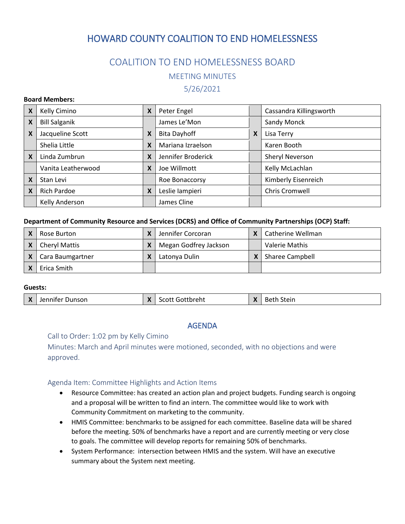# HOWARD COUNTY COALITION TO END HOMELESSNESS

# COALITION TO END HOMELESSNESS BOARD

MEETING MINUTES

5/26/2021

#### **Board Members:**

| X | Kelly Cimino         | X | Peter Engel         |   | Cassandra Killingsworth |
|---|----------------------|---|---------------------|---|-------------------------|
| X | <b>Bill Salganik</b> |   | James Le'Mon        |   | Sandy Monck             |
| X | Jacqueline Scott     | X | <b>Bita Dayhoff</b> | X | Lisa Terry              |
|   | Shelia Little        | X | Mariana Izraelson   |   | Karen Booth             |
| X | Linda Zumbrun        | X | Jennifer Broderick  |   | Sheryl Neverson         |
|   | Vanita Leatherwood   | X | Joe Willmott        |   | Kelly McLachlan         |
| X | Stan Levi            |   | Roe Bonaccorsy      |   | Kimberly Eisenreich     |
| X | <b>Rich Pardoe</b>   | X | Leslie lampieri     |   | Chris Cromwell          |
|   | Kelly Anderson       |   | James Cline         |   |                         |

#### **Department of Community Resource and Services (DCRS) and Office of Community Partnerships (OCP) Staff:**

| Rose Burton          | Jennifer Corcoran     | Catherine Wellman      |
|----------------------|-----------------------|------------------------|
| <b>Cheryl Mattis</b> | Megan Godfrey Jackson | Valerie Mathis         |
| Cara Baumgartner     | Latonya Dulin         | <b>Sharee Campbell</b> |
| Erica Smith          |                       |                        |

#### **Guests:**

|  | Jennifer Dunson | . . | <b>Scott Gottbreht</b> | $\boldsymbol{\Lambda}$ | $\sim$ $\sim$<br>Beth<br>Stein |
|--|-----------------|-----|------------------------|------------------------|--------------------------------|
|--|-----------------|-----|------------------------|------------------------|--------------------------------|

# AGENDA

Call to Order: 1:02 pm by Kelly Cimino

Minutes: March and April minutes were motioned, seconded, with no objections and were approved.

# Agenda Item: Committee Highlights and Action Items

- Resource Committee: has created an action plan and project budgets. Funding search is ongoing and a proposal will be written to find an intern. The committee would like to work with Community Commitment on marketing to the community.
- HMIS Committee: benchmarks to be assigned for each committee. Baseline data will be shared before the meeting. 50% of benchmarks have a report and are currently meeting or very close to goals. The committee will develop reports for remaining 50% of benchmarks.
- System Performance: intersection between HMIS and the system. Will have an executive summary about the System next meeting.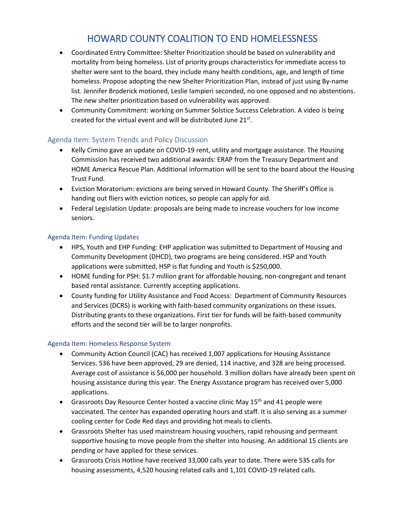# HOWARD COUNTY COALITION TO END HOMELESSNESS

- Coordinated Entry Committee: Shelter Prioritization should be based on vulnerability and mortality from being homeless. List of priority groups characteristics for immediate access to shelter were sent to the board, they include many health conditions, age, and length of time homeless. Propose adopting the new Shelter Prioritization Plan, instead of just using By-name list. Jennifer Broderick motioned, Leslie Iampieri seconded, no one opposed and no abstentions. The new shelter prioritization based on vulnerability was approved.
- Community Commitment: working on Summer Solstice Success Celebration. A video is being created for the virtual event and will be distributed June 21st.

# Agenda Item: System Trends and Policy Discussion

- Kelly Cimino gave an update on COVID-19 rent, utility and mortgage assistance. The Housing Commission has received two additional awards: ERAP from the Treasury Department and HOME America Rescue Plan. Additional information will be sent to the board about the Housing Trust Fund.
- Eviction Moratorium: evictions are being served in Howard County. The Sheriff's Office is handing out fliers with eviction notices, so people can apply for aid.
- Federal Legislation Update: proposals are being made to increase vouchers for low income seniors.

# Agenda Item: Funding Updates

- HPS, Youth and EHP Funding: EHP application was submitted to Department of Housing and Community Development (DHCD), two programs are being considered. HSP and Youth applications were submitted, HSP is flat funding and Youth is \$250,000.
- HOME funding for PSH: \$1.7 million grant for affordable housing, non-congregant and tenant based rental assistance. Currently accepting applications.
- County funding for Utility Assistance and Food Access: Department of Community Resources and Services (DCRS) is working with faith-based community organizations on these issues. Distributing grants to these organizations. First tier for funds will be faith-based community efforts and the second tier will be to larger nonprofits.

# Agenda Item: Homeless Response System

- Community Action Council (CAC) has received 1,007 applications for Housing Assistance Services. 536 have been approved, 29 are denied, 114 inactive, and 328 are being processed. Average cost of assistance is \$6,000 per household. 3 million dollars have already been spent on housing assistance during this year. The Energy Assistance program has received over 5,000 applications.
- Grassroots Day Resource Center hosted a vaccine clinic May  $15<sup>th</sup>$  and 41 people were vaccinated. The center has expanded operating hours and staff. It is also serving as a summer cooling center for Code Red days and providing hot meals to clients.
- Grassroots Shelter has used mainstream housing vouchers, rapid rehousing and permeant supportive housing to move people from the shelter into housing. An additional 15 clients are pending or have applied for these services.
- Grassroots Crisis Hotline have received 33,000 calls year to date. There were 535 calls for housing assessments, 4,520 housing related calls and 1,101 COVID-19 related calls.